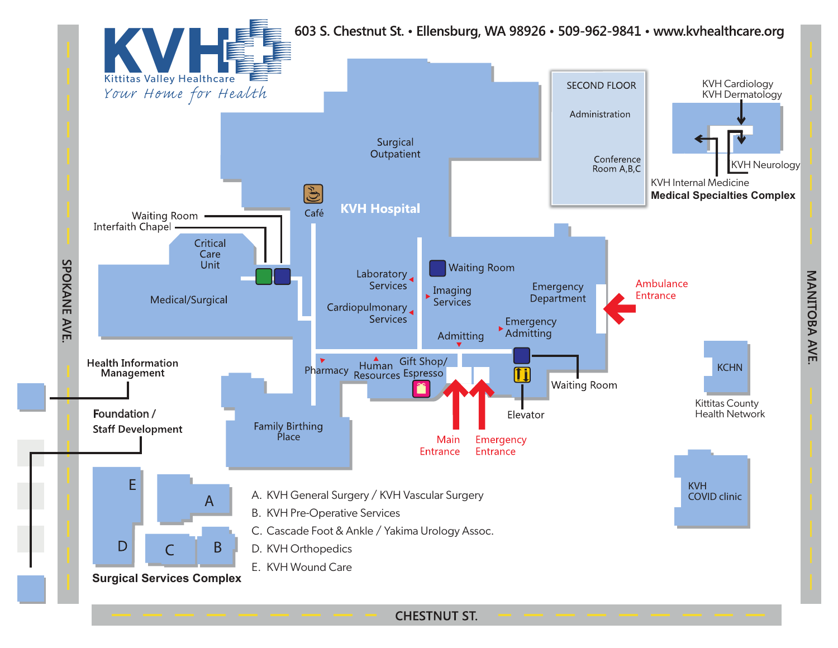

**CHESTNUT ST.**